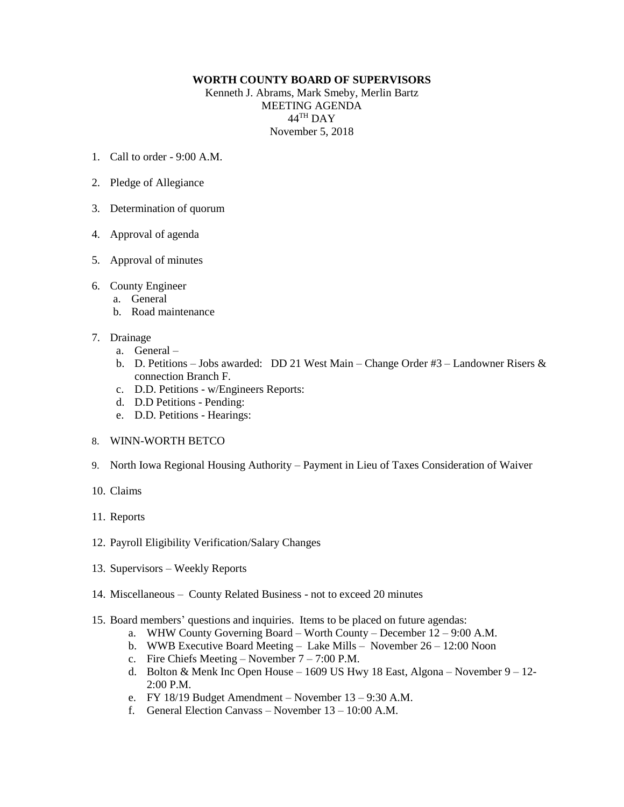## **WORTH COUNTY BOARD OF SUPERVISORS**

Kenneth J. Abrams, Mark Smeby, Merlin Bartz MEETING AGENDA  $44^{\text{TH}}$  DAY November 5, 2018

- 1. Call to order  $9.00 \text{ A M}$
- 2. Pledge of Allegiance
- 3. Determination of quorum
- 4. Approval of agenda
- 5. Approval of minutes
- 6. County Engineer
	- a. General
	- b. Road maintenance
- 7. Drainage
	- a. General –
	- b. D. Petitions Jobs awarded: DD 21 West Main Change Order #3 Landowner Risers & connection Branch F.
	- c. D.D. Petitions w/Engineers Reports:
	- d. D.D Petitions Pending:
	- e. D.D. Petitions Hearings:
- 8. WINN-WORTH BETCO
- 9. North Iowa Regional Housing Authority Payment in Lieu of Taxes Consideration of Waiver
- 10. Claims
- 11. Reports
- 12. Payroll Eligibility Verification/Salary Changes
- 13. Supervisors Weekly Reports
- 14. Miscellaneous County Related Business not to exceed 20 minutes
- 15. Board members' questions and inquiries. Items to be placed on future agendas:
	- a. WHW County Governing Board Worth County December 12 9:00 A.M.
	- b. WWB Executive Board Meeting Lake Mills November 26 12:00 Noon
	- c. Fire Chiefs Meeting November 7 7:00 P.M.
	- d. Bolton & Menk Inc Open House 1609 US Hwy 18 East, Algona November 9 12- 2:00 P.M.
	- e. FY 18/19 Budget Amendment November 13 9:30 A.M.
	- f. General Election Canvass November 13 10:00 A.M.